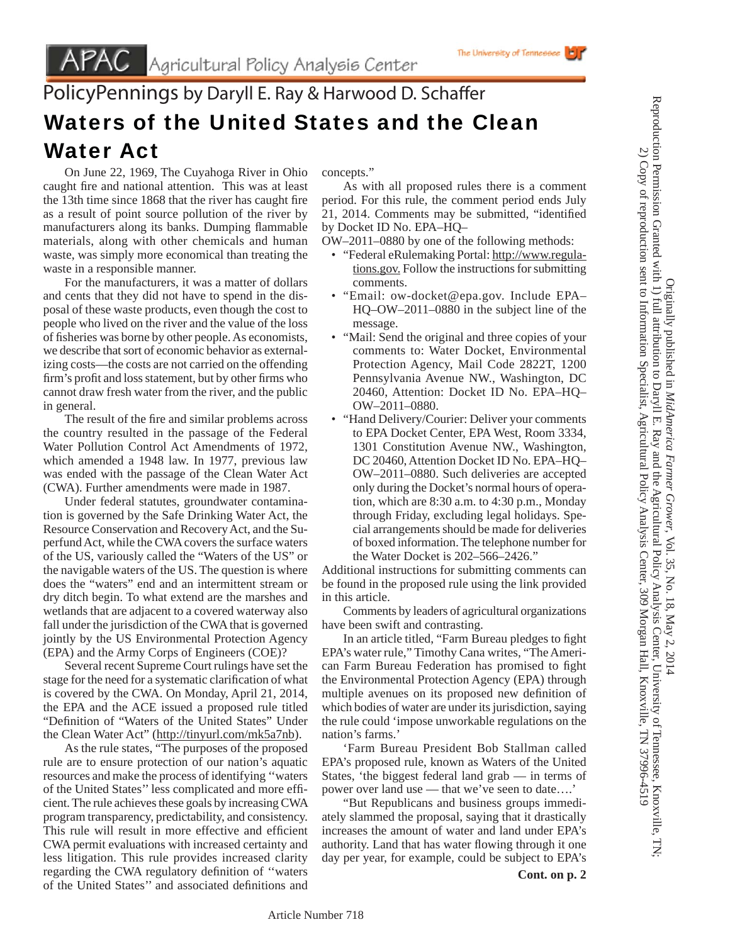## PolicyPennings by Daryll E. Ray & Harwood D. Schaffer Waters of the United States and the Clean Water Act

 On June 22, 1969, The Cuyahoga River in Ohio caught fire and national attention. This was at least the 13th time since 1868 that the river has caught fire as a result of point source pollution of the river by manufacturers along its banks. Dumping flammable materials, along with other chemicals and human waste, was simply more economical than treating the waste in a responsible manner.

 For the manufacturers, it was a matter of dollars and cents that they did not have to spend in the disposal of these waste products, even though the cost to people who lived on the river and the value of the loss of fisheries was borne by other people. As economists, we describe that sort of economic behavior as externalizing costs—the costs are not carried on the offending firm's profit and loss statement, but by other firms who cannot draw fresh water from the river, and the public in general.

The result of the fire and similar problems across the country resulted in the passage of the Federal Water Pollution Control Act Amendments of 1972, which amended a 1948 law. In 1977, previous law was ended with the passage of the Clean Water Act (CWA). Further amendments were made in 1987.

 Under federal statutes, groundwater contamination is governed by the Safe Drinking Water Act, the Resource Conservation and Recovery Act, and the Superfund Act, while the CWA covers the surface waters of the US, variously called the "Waters of the US" or the navigable waters of the US. The question is where does the "waters" end and an intermittent stream or dry ditch begin. To what extend are the marshes and wetlands that are adjacent to a covered waterway also fall under the jurisdiction of the CWA that is governed jointly by the US Environmental Protection Agency (EPA) and the Army Corps of Engineers (COE)?

 Several recent Supreme Court rulings have set the stage for the need for a systematic clarification of what is covered by the CWA. On Monday, April 21, 2014, the EPA and the ACE issued a proposed rule titled "Definition of "Waters of the United States" Under the Clean Water Act" (http://tinyurl.com/mk5a7nb).

 As the rule states, "The purposes of the proposed rule are to ensure protection of our nation's aquatic resources and make the process of identifying ''waters of the United States'' less complicated and more effi cient. The rule achieves these goals by increasing CWA program transparency, predictability, and consistency. This rule will result in more effective and efficient CWA permit evaluations with increased certainty and less litigation. This rule provides increased clarity regarding the CWA regulatory definition of "waters of the United States" and associated definitions and concepts."

 As with all proposed rules there is a comment period. For this rule, the comment period ends July 21, 2014. Comments may be submitted, "identified by Docket ID No. EPA–HQ–

The University of Tennessee

OW–2011–0880 by one of the following methods:

- "Federal eRulemaking Portal: http://www.regulations.gov. Follow the instructions for submitting comments.
- "Email: ow-docket@epa.gov. Include EPA– HQ–OW–2011–0880 in the subject line of the message.
- "Mail: Send the original and three copies of your comments to: Water Docket, Environmental Protection Agency, Mail Code 2822T, 1200 Pennsylvania Avenue NW., Washington, DC 20460, Attention: Docket ID No. EPA–HQ– OW–2011–0880.
- "Hand Delivery/Courier: Deliver your comments to EPA Docket Center, EPA West, Room 3334, 1301 Constitution Avenue NW., Washington, DC 20460, Attention Docket ID No. EPA–HQ– OW–2011–0880. Such deliveries are accepted only during the Docket's normal hours of operation, which are 8:30 a.m. to 4:30 p.m., Monday through Friday, excluding legal holidays. Special arrangements should be made for deliveries of boxed information. The telephone number for the Water Docket is 202–566–2426."

Additional instructions for submitting comments can be found in the proposed rule using the link provided in this article.

 Comments by leaders of agricultural organizations have been swift and contrasting.

In an article titled, "Farm Bureau pledges to fight EPA's water rule," Timothy Cana writes, "The American Farm Bureau Federation has promised to fight the Environmental Protection Agency (EPA) through multiple avenues on its proposed new definition of which bodies of water are under its jurisdiction, saying the rule could 'impose unworkable regulations on the nation's farms.'

 'Farm Bureau President Bob Stallman called EPA's proposed rule, known as Waters of the United States, 'the biggest federal land grab — in terms of power over land use — that we've seen to date….'

 "But Republicans and business groups immediately slammed the proposal, saying that it drastically increases the amount of water and land under EPA's authority. Land that has water flowing through it one day per year, for example, could be subject to EPA's